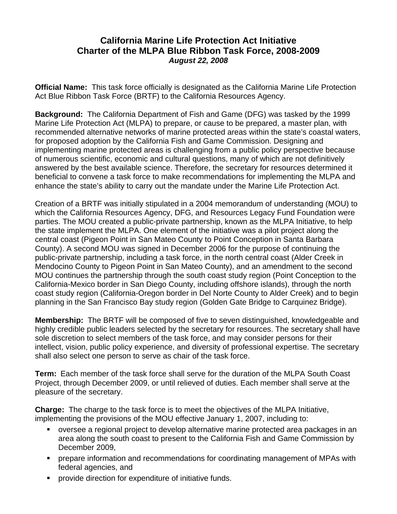## **California Marine Life Protection Act Initiative Charter of the MLPA Blue Ribbon Task Force, 2008-2009**  *August 22, 2008*

**Official Name:** This task force officially is designated as the California Marine Life Protection Act Blue Ribbon Task Force (BRTF) to the California Resources Agency.

**Background:** The California Department of Fish and Game (DFG) was tasked by the 1999 Marine Life Protection Act (MLPA) to prepare, or cause to be prepared, a master plan, with recommended alternative networks of marine protected areas within the state's coastal waters, for proposed adoption by the California Fish and Game Commission. Designing and implementing marine protected areas is challenging from a public policy perspective because of numerous scientific, economic and cultural questions, many of which are not definitively answered by the best available science. Therefore, the secretary for resources determined it beneficial to convene a task force to make recommendations for implementing the MLPA and enhance the state's ability to carry out the mandate under the Marine Life Protection Act.

Creation of a BRTF was initially stipulated in a 2004 memorandum of understanding (MOU) to which the California Resources Agency, DFG, and Resources Legacy Fund Foundation were parties. The MOU created a public-private partnership, known as the MLPA Initiative, to help the state implement the MLPA. One element of the initiative was a pilot project along the central coast (Pigeon Point in San Mateo County to Point Conception in Santa Barbara County). A second MOU was signed in December 2006 for the purpose of continuing the public-private partnership, including a task force, in the north central coast (Alder Creek in Mendocino County to Pigeon Point in San Mateo County), and an amendment to the second MOU continues the partnership through the south coast study region (Point Conception to the California-Mexico border in San Diego County, including offshore islands), through the north coast study region (California-Oregon border in Del Norte County to Alder Creek) and to begin planning in the San Francisco Bay study region (Golden Gate Bridge to Carquinez Bridge).

**Membership:** The BRTF will be composed of five to seven distinguished, knowledgeable and highly credible public leaders selected by the secretary for resources. The secretary shall have sole discretion to select members of the task force, and may consider persons for their intellect, vision, public policy experience, and diversity of professional expertise. The secretary shall also select one person to serve as chair of the task force.

**Term:** Each member of the task force shall serve for the duration of the MLPA South Coast Project, through December 2009, or until relieved of duties. Each member shall serve at the pleasure of the secretary.

**Charge:** The charge to the task force is to meet the objectives of the MLPA Initiative, implementing the provisions of the MOU effective January 1, 2007, including to:

- oversee a regional project to develop alternative marine protected area packages in an area along the south coast to present to the California Fish and Game Commission by December 2009,
- prepare information and recommendations for coordinating management of MPAs with federal agencies, and
- provide direction for expenditure of initiative funds.